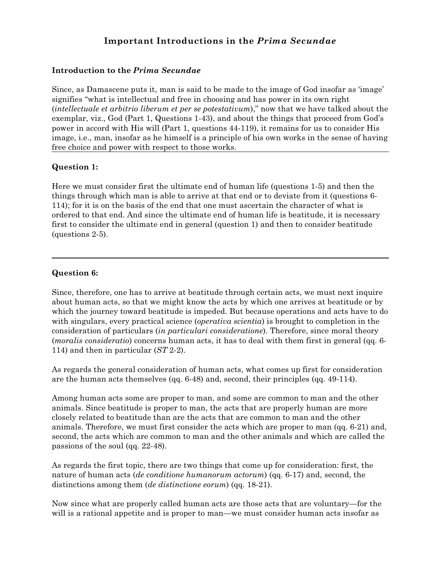# **Important Introductions in the** *Prima Secundae*

# **Introduction to the** *Prima Secundae*

Since, as Damascene puts it, man is said to be made to the image of God insofar as 'image' signifies "what is intellectual and free in choosing and has power in its own right (*intellectuale et arbitrio liberum et per se potestativum*)," now that we have talked about the exemplar, viz., God (Part 1, Questions 1-43), and about the things that proceed from God's power in accord with His will (Part 1, questions 44-119), it remains for us to consider His image, i.e., man, insofar as he himself is a principle of his own works in the sense of having free choice and power with respect to those works.

# **Question 1:**

Here we must consider first the ultimate end of human life (questions 1-5) and then the things through which man is able to arrive at that end or to deviate from it (questions 6- 114); for it is on the basis of the end that one must ascertain the character of what is ordered to that end. And since the ultimate end of human life is beatitude, it is necessary first to consider the ultimate end in general (question 1) and then to consider beatitude (questions 2-5).

# **Question 6:**

Since, therefore, one has to arrive at beatitude through certain acts, we must next inquire about human acts, so that we might know the acts by which one arrives at beatitude or by which the journey toward beatitude is impeded. But because operations and acts have to do with singulars, every practical science (*operativa scientia*) is brought to completion in the consideration of particulars (*in particulari consideratione*). Therefore, since moral theory (*moralis consideratio*) concerns human acts, it has to deal with them first in general (qq. 6- 114) and then in particular (*ST* 2-2).

As regards the general consideration of human acts, what comes up first for consideration are the human acts themselves (qq. 6-48) and, second, their principles (qq. 49-114).

Among human acts some are proper to man, and some are common to man and the other animals. Since beatitude is proper to man, the acts that are properly human are more closely related to beatitude than are the acts that are common to man and the other animals. Therefore, we must first consider the acts which are proper to man (qq. 6-21) and, second, the acts which are common to man and the other animals and which are called the passions of the soul (qq. 22-48).

As regards the first topic, there are two things that come up for consideration: first, the nature of human acts (*de conditione humanorum actorum*) (qq. 6-17) and, second, the distinctions among them (*de distinctione eorum*) (qq. 18-21).

Now since what are properly called human acts are those acts that are voluntary—for the will is a rational appetite and is proper to man—we must consider human acts insofar as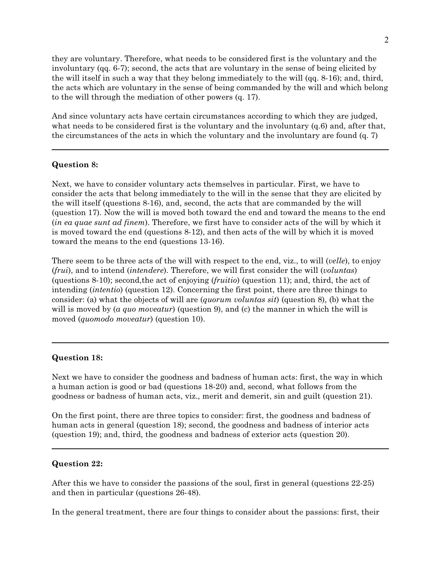they are voluntary. Therefore, what needs to be considered first is the voluntary and the involuntary (qq. 6-7); second, the acts that are voluntary in the sense of being elicited by the will itself in such a way that they belong immediately to the will (qq. 8-16); and, third, the acts which are voluntary in the sense of being commanded by the will and which belong to the will through the mediation of other powers (q. 17).

And since voluntary acts have certain circumstances according to which they are judged, what needs to be considered first is the voluntary and the involuntary  $(q, 6)$  and, after that, the circumstances of the acts in which the voluntary and the involuntary are found (q. 7)

## **Question 8:**

Next, we have to consider voluntary acts themselves in particular. First, we have to consider the acts that belong immediately to the will in the sense that they are elicited by the will itself (questions 8-16), and, second, the acts that are commanded by the will (question 17). Now the will is moved both toward the end and toward the means to the end (*in ea quae sunt ad finem*). Therefore, we first have to consider acts of the will by which it is moved toward the end (questions 8-12), and then acts of the will by which it is moved toward the means to the end (questions 13-16).

There seem to be three acts of the will with respect to the end, viz., to will (*velle*), to enjoy (*frui*), and to intend (*intendere*). Therefore, we will first consider the will (*voluntas*) (questions 8-10); second,the act of enjoying (*fruitio*) (question 11); and, third, the act of intending (*intentio*) (question 12). Concerning the first point, there are three things to consider: (a) what the objects of will are (*quorum voluntas sit*) (question 8), (b) what the will is moved by (*a quo moveatur*) (question 9), and (c) the manner in which the will is moved (*quomodo moveatur*) (question 10).

## **Question 18:**

Next we have to consider the goodness and badness of human acts: first, the way in which a human action is good or bad (questions 18-20) and, second, what follows from the goodness or badness of human acts, viz., merit and demerit, sin and guilt (question 21).

On the first point, there are three topics to consider: first, the goodness and badness of human acts in general (question 18); second, the goodness and badness of interior acts (question 19); and, third, the goodness and badness of exterior acts (question 20).

## **Question 22:**

After this we have to consider the passions of the soul, first in general (questions 22-25) and then in particular (questions 26-48).

In the general treatment, there are four things to consider about the passions: first, their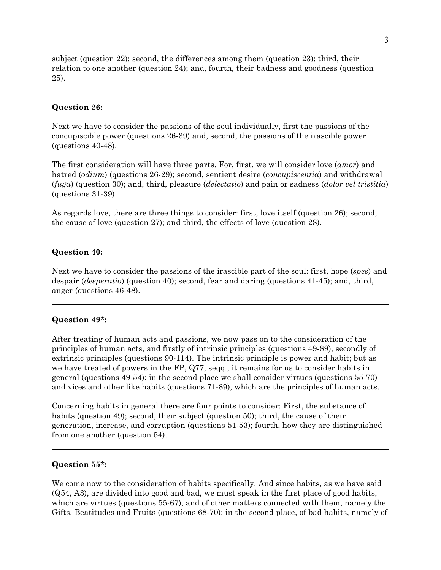subject (question 22); second, the differences among them (question 23); third, their relation to one another (question 24); and, fourth, their badness and goodness (question 25).

## **Question 26:**

Next we have to consider the passions of the soul individually, first the passions of the concupiscible power (questions 26-39) and, second, the passions of the irascible power (questions 40-48).

The first consideration will have three parts. For, first, we will consider love (*amor*) and hatred (*odium*) (questions 26-29); second, sentient desire (*concupiscentia*) and withdrawal (*fuga*) (question 30); and, third, pleasure (*delectatio*) and pain or sadness (*dolor vel tristitia*) (questions 31-39).

As regards love, there are three things to consider: first, love itself (question 26); second, the cause of love (question 27); and third, the effects of love (question 28).

#### **Question 40:**

Next we have to consider the passions of the irascible part of the soul: first, hope (*spes*) and despair (*desperatio*) (question 40); second, fear and daring (questions 41-45); and, third, anger (questions 46-48).

## **Question 49\*:**

After treating of human acts and passions, we now pass on to the consideration of the principles of human acts, and firstly of intrinsic principles (questions 49-89), secondly of extrinsic principles (questions 90-114). The intrinsic principle is power and habit; but as we have treated of powers in the FP, Q77, seqq., it remains for us to consider habits in general (questions 49-54): in the second place we shall consider virtues (questions 55-70) and vices and other like habits (questions 71-89), which are the principles of human acts.

Concerning habits in general there are four points to consider: First, the substance of habits (question 49); second, their subject (question 50); third, the cause of their generation, increase, and corruption (questions 51-53); fourth, how they are distinguished from one another (question 54).

## **Question 55\*:**

We come now to the consideration of habits specifically. And since habits, as we have said (Q54, A3), are divided into good and bad, we must speak in the first place of good habits, which are virtues (questions 55-67), and of other matters connected with them, namely the Gifts, Beatitudes and Fruits (questions 68-70); in the second place, of bad habits, namely of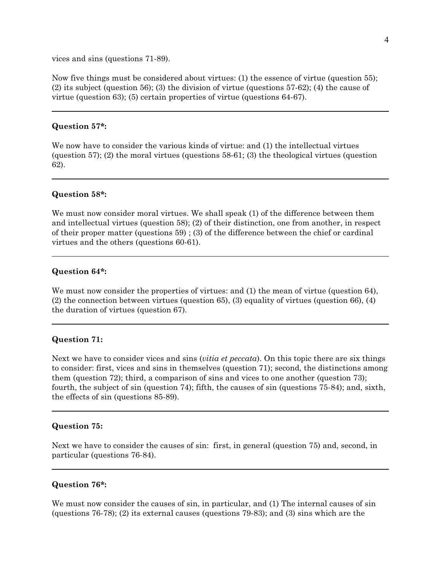vices and sins (questions 71-89).

Now five things must be considered about virtues: (1) the essence of virtue (question 55); (2) its subject (question 56); (3) the division of virtue (questions 57-62); (4) the cause of virtue (question 63); (5) certain properties of virtue (questions 64-67).

## **Question 57\*:**

We now have to consider the various kinds of virtue: and (1) the intellectual virtues (question 57); (2) the moral virtues (questions 58-61; (3) the theological virtues (question 62).

## **Question 58\*:**

We must now consider moral virtues. We shall speak (1) of the difference between them and intellectual virtues (question 58); (2) of their distinction, one from another, in respect of their proper matter (questions 59) ; (3) of the difference between the chief or cardinal virtues and the others (questions 60-61).

#### **Question 64\*:**

We must now consider the properties of virtues: and (1) the mean of virtue (question 64), (2) the connection between virtues (question 65), (3) equality of virtues (question 66), (4) the duration of virtues (question 67).

## **Question 71:**

Next we have to consider vices and sins (*vitia et peccata*). On this topic there are six things to consider: first, vices and sins in themselves (question 71); second, the distinctions among them (question 72); third, a comparison of sins and vices to one another (question 73); fourth, the subject of sin (question 74); fifth, the causes of sin (questions 75-84); and, sixth, the effects of sin (questions 85-89).

## **Question 75:**

Next we have to consider the causes of sin: first, in general (question 75) and, second, in particular (questions 76-84).

#### **Question 76\*:**

We must now consider the causes of sin, in particular, and (1) The internal causes of sin (questions 76-78); (2) its external causes (questions 79-83); and (3) sins which are the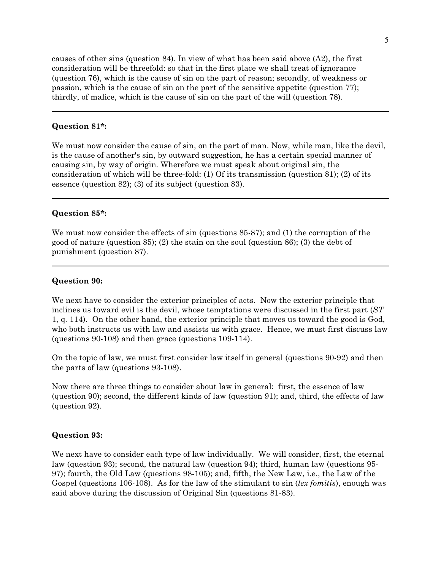causes of other sins (question 84). In view of what has been said above (A2), the first consideration will be threefold: so that in the first place we shall treat of ignorance (question 76), which is the cause of sin on the part of reason; secondly, of weakness or passion, which is the cause of sin on the part of the sensitive appetite (question 77); thirdly, of malice, which is the cause of sin on the part of the will (question 78).

## **Question 81\*:**

We must now consider the cause of sin, on the part of man. Now, while man, like the devil, is the cause of another's sin, by outward suggestion, he has a certain special manner of causing sin, by way of origin. Wherefore we must speak about original sin, the consideration of which will be three-fold: (1) Of its transmission (question 81); (2) of its essence (question 82); (3) of its subject (question 83).

## **Question 85\*:**

We must now consider the effects of sin (questions 85-87); and (1) the corruption of the good of nature (question 85); (2) the stain on the soul (question 86); (3) the debt of punishment (question 87).

#### **Question 90:**

We next have to consider the exterior principles of acts. Now the exterior principle that inclines us toward evil is the devil, whose temptations were discussed in the first part (*ST* 1, q. 114). On the other hand, the exterior principle that moves us toward the good is God, who both instructs us with law and assists us with grace. Hence, we must first discuss law (questions 90-108) and then grace (questions 109-114).

On the topic of law, we must first consider law itself in general (questions 90-92) and then the parts of law (questions 93-108).

Now there are three things to consider about law in general: first, the essence of law (question 90); second, the different kinds of law (question 91); and, third, the effects of law (question 92).

## **Question 93:**

We next have to consider each type of law individually. We will consider, first, the eternal law (question 93); second, the natural law (question 94); third, human law (questions 95- 97); fourth, the Old Law (questions 98-105); and, fifth, the New Law, i.e., the Law of the Gospel (questions 106-108). As for the law of the stimulant to sin (*lex fomitis*), enough was said above during the discussion of Original Sin (questions 81-83).